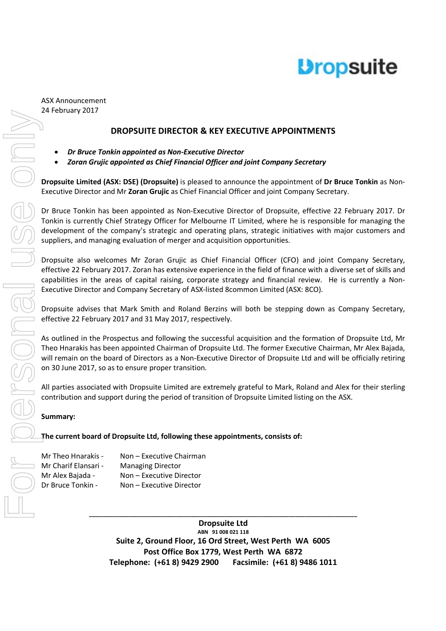

#### ASX Announcement 24 February 2017

#### **DROPSUITE DIRECTOR & KEY EXECUTIVE APPOINTMENTS**

- *Dr Bruce Tonkin appointed as Non-Executive Director*
- *Zoran Grujic appointed as Chief Financial Officer and joint Company Secretary*

**Dropsuite Limited (ASX: DSE) (Dropsuite)** is pleased to announce the appointment of **Dr Bruce Tonkin** as Non-Executive Director and Mr **Zoran Grujic** as Chief Financial Officer and joint Company Secretary.

Dr Bruce Tonkin has been appointed as Non-Executive Director of Dropsuite, effective 22 February 2017. Dr Tonkin is currently Chief Strategy Officer for Melbourne IT Limited, where he is responsible for managing the development of the company's strategic and operating plans, strategic initiatives with major customers and suppliers, and managing evaluation of merger and acquisition opportunities.

Dropsuite also welcomes Mr Zoran Grujic as Chief Financial Officer (CFO) and joint Company Secretary, effective 22 February 2017. Zoran has extensive experience in the field of finance with a diverse set of skills and capabilities in the areas of capital raising, corporate strategy and financial review. He is currently a Non-Executive Director and Company Secretary of ASX-listed 8common Limited (ASX: 8CO).

Dropsuite advises that Mark Smith and Roland Berzins will both be stepping down as Company Secretary, effective 22 February 2017 and 31 May 2017, respectively.

As outlined in the Prospectus and following the successful acquisition and the formation of Dropsuite Ltd, Mr Theo Hnarakis has been appointed Chairman of Dropsuite Ltd. The former Executive Chairman, Mr Alex Bajada, will remain on the board of Directors as a Non-Executive Director of Dropsuite Ltd and will be officially retiring on 30 June 2017, so as to ensure proper transition.

All parties associated with Dropsuite Limited are extremely grateful to Mark, Roland and Alex for their sterling contribution and support during the period of transition of Dropsuite Limited listing on the ASX.

#### **Summary:**

#### **The current board of Dropsuite Ltd, following these appointments, consists of:**

| Mr Theo Hnarakis -   | Non - Executive Chairman |
|----------------------|--------------------------|
| Mr Charif Elansari - | <b>Managing Director</b> |
| Mr Alex Bajada -     | Non - Executive Director |
| Dr Bruce Tonkin -    | Non – Executive Director |

**Dropsuite Ltd ABN 91 008 021 118 Suite 2, Ground Floor, 16 Ord Street, West Perth WA 6005 Post Office Box 1779, West Perth WA 6872 Telephone: (+61 8) 9429 2900 Facsimile: (+61 8) 9486 1011**

**\_\_\_\_\_\_\_\_\_\_\_\_\_\_\_\_\_\_\_\_\_\_\_\_\_\_\_\_\_\_\_\_\_\_\_\_\_\_\_\_\_\_\_\_\_\_\_\_\_\_\_\_\_\_\_\_\_\_\_\_\_\_\_\_\_\_\_\_\_\_\_\_\_\_\_\_\_\_\_\_\_\_**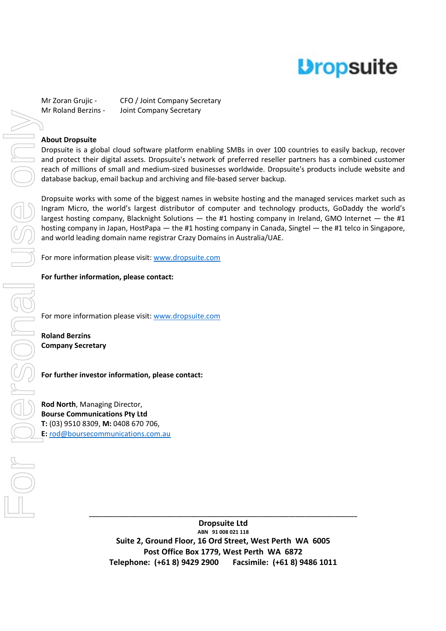# **Dropsuite**

Mr Zoran Grujic - CFO / Joint Company Secretary Mr Roland Berzins - Joint Company Secretary

#### **About Dropsuite**

Dropsuite is a global cloud software platform enabling SMBs in over 100 countries to easily backup, recover and protect their digital assets. Dropsuite's network of preferred reseller partners has a combined customer reach of millions of small and medium-sized businesses worldwide. Dropsuite's products include website and database backup, email backup and archiving and file-based server backup.

Dropsuite works with some of the biggest names in website hosting and the managed services market such as Ingram Micro, the world's largest distributor of computer and technology products, GoDaddy the world's largest hosting company, Blacknight Solutions — the #1 hosting company in Ireland, GMO Internet — the #1 hosting company in Japan, HostPapa — the #1 hosting company in Canada, Singtel — the #1 telco in Singapore, and world leading domain name registrar Crazy Domains in Australia/UAE.

For more information please visit: www.dropsuite.com

**For further information, please contact:** 

For more information please visit: www.dropsuite.com

**Roland Berzins Company Secretary** 

#### **For further investor information, please contact:**

**Rod North**, Managing Director, **Bourse Communications Pty Ltd T:** (03) 9510 8309, **M:** 0408 670 706,

> **Dropsuite Ltd ABN 91 008 021 118 Suite 2, Ground Floor, 16 Ord Street, West Perth WA 6005 Post Office Box 1779, West Perth WA 6872 Telephone: (+61 8) 9429 2900 Facsimile: (+61 8) 9486 1011**

**\_\_\_\_\_\_\_\_\_\_\_\_\_\_\_\_\_\_\_\_\_\_\_\_\_\_\_\_\_\_\_\_\_\_\_\_\_\_\_\_\_\_\_\_\_\_\_\_\_\_\_\_\_\_\_\_\_\_\_\_\_\_\_\_\_\_\_\_\_\_\_\_\_\_\_\_\_\_\_\_\_\_**